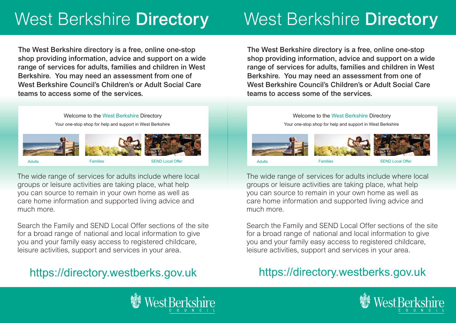# West Berkshire Directory

The West Berkshire directory is a free, online one-stop shop providing information, advice and support on a wide range of services for adults, families and children in West Berkshire. You may need an assessment from one of West Berkshire Council's Children's or Adult Social Care teams to access some of the services.

> Welcome to the West Berkshire Directory Your one-stop shop for help and support in West Berkshire



The wide range of services for adults include where local groups or leisure activities are taking place, what help you can source to remain in your own home as well as care home information and supported living advice and much more.

Search the Family and SEND Local Offer sections of the site for a broad range of national and local information to give you and your family easy access to registered childcare, leisure activities, support and services in your area.

## https://directory.westberks.gov.uk

# West Berkshire Directory

The West Berkshire directory is a free, online one-stop shop providing information, advice and support on a wide range of services for adults, families and children in West Berkshire. You may need an assessment from one of West Berkshire Council's Children's or Adult Social Care teams to access some of the services.

> Welcome to the West Berkshire Directory Your one-stop shop for help and support in West Berkshire



The wide range of services for adults include where local groups or leisure activities are taking place, what help you can source to remain in your own home as well as care home information and supported living advice and much more.

Search the Family and SEND Local Offer sections of the site for a broad range of national and local information to give you and your family easy access to registered childcare, leisure activities, support and services in your area.

### https://directory.westberks.gov.uk